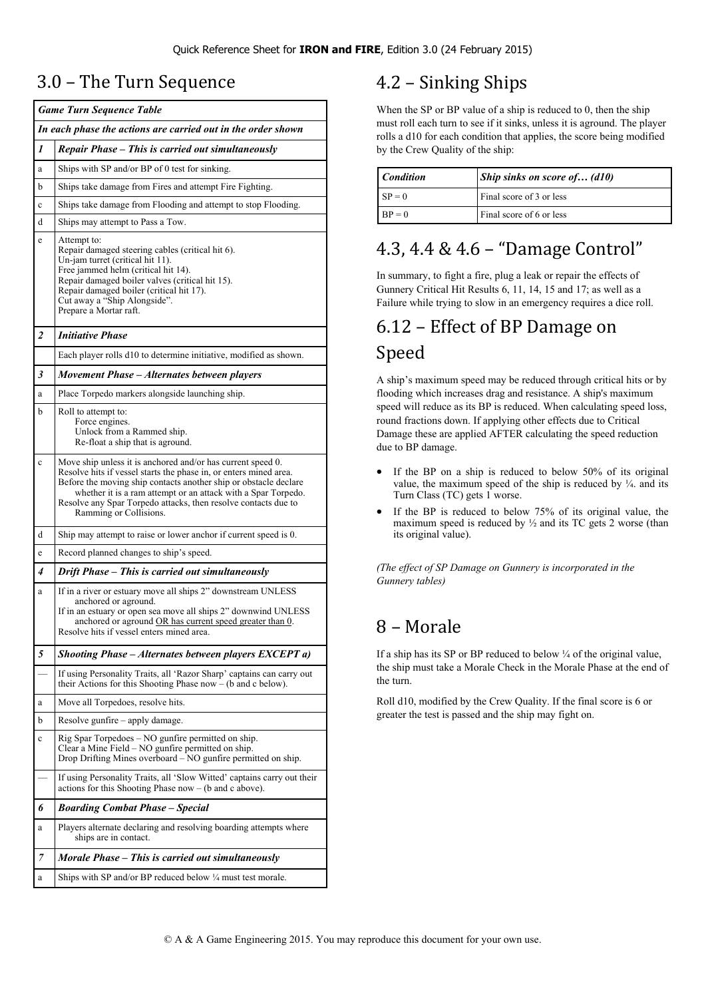## 3.0 – The Turn Sequence

|             | <b>Game Turn Sequence Table</b>                                                                                                                                                                                                                                                                                                                                   |  |  |  |  |  |  |  |  |
|-------------|-------------------------------------------------------------------------------------------------------------------------------------------------------------------------------------------------------------------------------------------------------------------------------------------------------------------------------------------------------------------|--|--|--|--|--|--|--|--|
|             | In each phase the actions are carried out in the order shown                                                                                                                                                                                                                                                                                                      |  |  |  |  |  |  |  |  |
| 1           | Repair Phase - This is carried out simultaneously                                                                                                                                                                                                                                                                                                                 |  |  |  |  |  |  |  |  |
| a           | Ships with SP and/or BP of 0 test for sinking.                                                                                                                                                                                                                                                                                                                    |  |  |  |  |  |  |  |  |
| b           | Ships take damage from Fires and attempt Fire Fighting.                                                                                                                                                                                                                                                                                                           |  |  |  |  |  |  |  |  |
| c           | Ships take damage from Flooding and attempt to stop Flooding.                                                                                                                                                                                                                                                                                                     |  |  |  |  |  |  |  |  |
| d           | Ships may attempt to Pass a Tow.                                                                                                                                                                                                                                                                                                                                  |  |  |  |  |  |  |  |  |
| e           | Attempt to:<br>Repair damaged steering cables (critical hit 6).<br>Un-jam turret (critical hit 11).<br>Free jammed helm (critical hit 14).<br>Repair damaged boiler valves (critical hit 15).<br>Repair damaged boiler (critical hit 17).<br>Cut away a "Ship Alongside".<br>Prepare a Mortar raft.                                                               |  |  |  |  |  |  |  |  |
| 2           | <b>Initiative Phase</b>                                                                                                                                                                                                                                                                                                                                           |  |  |  |  |  |  |  |  |
|             | Each player rolls d10 to determine initiative, modified as shown.                                                                                                                                                                                                                                                                                                 |  |  |  |  |  |  |  |  |
| 3           | Movement Phase - Alternates between players                                                                                                                                                                                                                                                                                                                       |  |  |  |  |  |  |  |  |
| a           | Place Torpedo markers alongside launching ship.                                                                                                                                                                                                                                                                                                                   |  |  |  |  |  |  |  |  |
| b           | Roll to attempt to:<br>Force engines.<br>Unlock from a Rammed ship.<br>Re-float a ship that is aground.                                                                                                                                                                                                                                                           |  |  |  |  |  |  |  |  |
| c           | Move ship unless it is anchored and/or has current speed 0.<br>Resolve hits if vessel starts the phase in, or enters mined area.<br>Before the moving ship contacts another ship or obstacle declare<br>whether it is a ram attempt or an attack with a Spar Torpedo.<br>Resolve any Spar Torpedo attacks, then resolve contacts due to<br>Ramming or Collisions. |  |  |  |  |  |  |  |  |
| d           | Ship may attempt to raise or lower anchor if current speed is 0.                                                                                                                                                                                                                                                                                                  |  |  |  |  |  |  |  |  |
| $\mathbf e$ | Record planned changes to ship's speed.                                                                                                                                                                                                                                                                                                                           |  |  |  |  |  |  |  |  |
| 4           | Drift Phase – This is carried out simultaneously                                                                                                                                                                                                                                                                                                                  |  |  |  |  |  |  |  |  |
| a           | If in a river or estuary move all ships 2" downstream UNLESS<br>anchored or aground.<br>If in an estuary or open sea move all ships 2" downwind UNLESS<br>anchored or aground OR has current speed greater than 0.<br>Resolve hits if vessel enters mined area.                                                                                                   |  |  |  |  |  |  |  |  |
| 5           | Shooting Phase – Alternates between players EXCEPT a)                                                                                                                                                                                                                                                                                                             |  |  |  |  |  |  |  |  |
|             | If using Personality Traits, all 'Razor Sharp' captains can carry out<br>their Actions for this Shooting Phase now $-$ (b and c below).                                                                                                                                                                                                                           |  |  |  |  |  |  |  |  |
| a           | Move all Torpedoes, resolve hits.                                                                                                                                                                                                                                                                                                                                 |  |  |  |  |  |  |  |  |
| b           | Resolve gunfire – apply damage.                                                                                                                                                                                                                                                                                                                                   |  |  |  |  |  |  |  |  |
| c           | Rig Spar Torpedoes – NO gunfire permitted on ship.<br>Clear a Mine Field – NO gunfire permitted on ship.<br>Drop Drifting Mines overboard - NO gunfire permitted on ship.                                                                                                                                                                                         |  |  |  |  |  |  |  |  |
|             | If using Personality Traits, all 'Slow Witted' captains carry out their<br>actions for this Shooting Phase $now - (b \text{ and } c \text{ above}).$                                                                                                                                                                                                              |  |  |  |  |  |  |  |  |
| 6           | <b>Boarding Combat Phase - Special</b>                                                                                                                                                                                                                                                                                                                            |  |  |  |  |  |  |  |  |
| a           | Players alternate declaring and resolving boarding attempts where<br>ships are in contact.                                                                                                                                                                                                                                                                        |  |  |  |  |  |  |  |  |
| 7           | Morale Phase – This is carried out simultaneously                                                                                                                                                                                                                                                                                                                 |  |  |  |  |  |  |  |  |
| a           | Ships with SP and/or BP reduced below 1/4 must test morale.                                                                                                                                                                                                                                                                                                       |  |  |  |  |  |  |  |  |

## 4.2 – Sinking Ships

When the SP or BP value of a ship is reduced to 0, then the ship must roll each turn to see if it sinks, unless it is aground. The player rolls a d10 for each condition that applies, the score being modified by the Crew Quality of the ship:

| <b>Condition</b> | <i>Ship sinks on score of (d10)</i> |  |  |  |  |  |
|------------------|-------------------------------------|--|--|--|--|--|
| $SP = 0$         | Final score of 3 or less            |  |  |  |  |  |
| $BP = 0$         | Final score of 6 or less            |  |  |  |  |  |

## 4.3, 4.4 & 4.6 – "Damage Control"

In summary, to fight a fire, plug a leak or repair the effects of Gunnery Critical Hit Results 6, 11, 14, 15 and 17; as well as a Failure while trying to slow in an emergency requires a dice roll.

# 6.12 – Effect of BP Damage on

### Speed

A ship's maximum speed may be reduced through critical hits or by flooding which increases drag and resistance. A ship's maximum speed will reduce as its BP is reduced. When calculating speed loss, round fractions down. If applying other effects due to Critical Damage these are applied AFTER calculating the speed reduction due to BP damage.

- If the BP on a ship is reduced to below 50% of its original value, the maximum speed of the ship is reduced by  $\frac{1}{4}$ . and its Turn Class (TC) gets 1 worse.
- If the BP is reduced to below 75% of its original value, the maximum speed is reduced by  $\frac{1}{2}$  and its TC gets 2 worse (than its original value).

*(The effect of SP Damage on Gunnery is incorporated in the Gunnery tables)* 

## 8 – Morale

If a ship has its SP or BP reduced to below ¼ of the original value, the ship must take a Morale Check in the Morale Phase at the end of the turn.

Roll d10, modified by the Crew Quality. If the final score is 6 or greater the test is passed and the ship may fight on.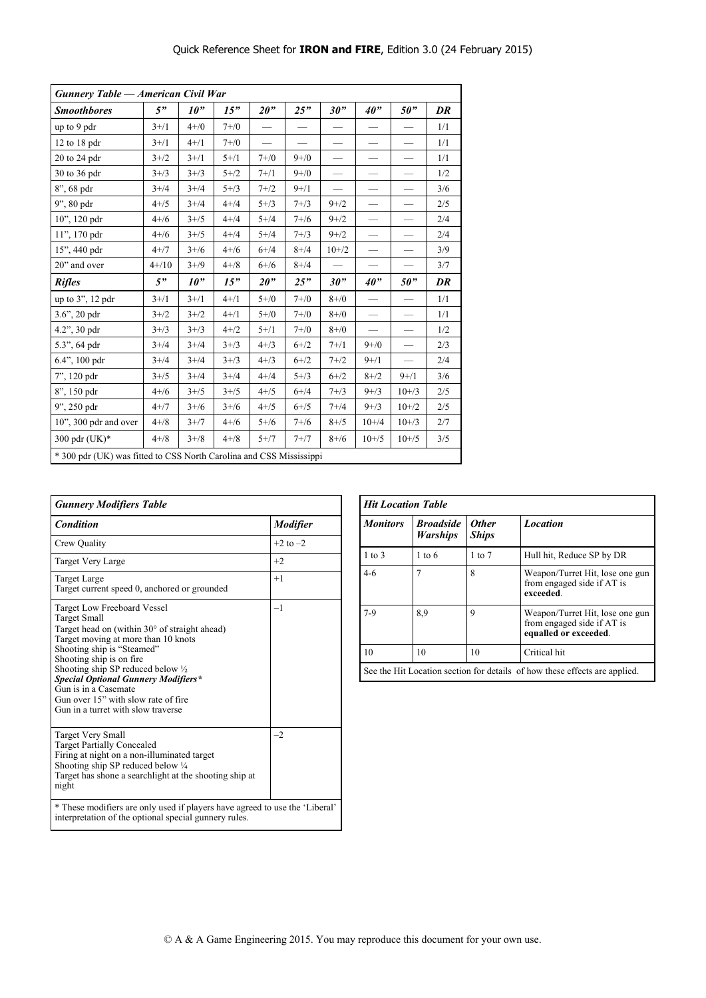| <b>Gunnery Table - American Civil War</b>                           |           |           |           |           |           |           |                          |                          |     |
|---------------------------------------------------------------------|-----------|-----------|-----------|-----------|-----------|-----------|--------------------------|--------------------------|-----|
| <b>Smoothbores</b>                                                  | 5"        | 10"       | 15"       | 20"       | 25"       | 30"       | 40"                      | 50"                      | DR  |
| up to 9 pdr                                                         | $3 + / 1$ | $4 + / 0$ | $7 + / 0$ |           |           |           |                          |                          | 1/1 |
| $12$ to $18$ pdr                                                    | $3 + / 1$ | $4 + / 1$ | $7 + 70$  |           |           |           |                          |                          | 1/1 |
| 20 to 24 pdr                                                        | $3 + 72$  | $3 + / 1$ | $5 + / 1$ | $7 + / 0$ | $9 + / 0$ |           |                          |                          | 1/1 |
| 30 to 36 pdr                                                        | $3 + / 3$ | $3 + / 3$ | $5 + 72$  | $7 + / 1$ | $9 + / 0$ |           |                          |                          | 1/2 |
| 8", 68 pdr                                                          | $3+/4$    | $3+/4$    | $5 + / 3$ | $7 + 72$  | $9+ / 1$  |           |                          |                          | 3/6 |
| 9", 80 pdr                                                          | $4 + 75$  | $3+/4$    | $4 + 4$   | $5 + / 3$ | $7 + 3$   | $9 + 72$  |                          |                          | 2/5 |
| 10", 120 pdr                                                        | $4 + 16$  | $3 + 75$  | $4 + 4$   | $5 + 4$   | $7 + 16$  | $9 + 72$  |                          |                          | 2/4 |
| 11", 170 pdr                                                        | $4+/6$    | $3 + 75$  | $4 + 4$   | $5 + 4$   | $7 + 3$   | $9 + 72$  |                          |                          | 2/4 |
| 15", 440 pdr                                                        | $4+/7$    | $3+/6$    | $4 + 16$  | $6 + 4$   | $8 + 74$  | $10 + 2$  |                          |                          | 3/9 |
| 20" and over                                                        | $4 + 10$  | $3+/9$    | $4 + 8$   | $6 + 16$  | $8 + 74$  |           |                          | $\overline{\phantom{0}}$ | 3/7 |
| <b>Rifles</b>                                                       | 5"        | 10"       | 15"       | 20"       | 25"       | 30"       | 40"                      | 50"                      | DR  |
| up to 3", 12 pdr                                                    | $3+/1$    | $3+/1$    | $4 + / 1$ | $5 + / 0$ | $7 + / 0$ | $8 + / 0$ | $\overline{\phantom{0}}$ | $\overline{\phantom{0}}$ | 1/1 |
| $3.6$ ", $20$ pdr                                                   | $3 + 72$  | $3 + 72$  | $4 + / 1$ | $5 + / 0$ | $7 + / 0$ | $8 + / 0$ |                          |                          | 1/1 |
| 4.2", 30 pdr                                                        | $3 + / 3$ | $3 + / 3$ | $4 + 2$   | $5 + / 1$ | $7 + / 0$ | $8 + / 0$ |                          |                          | 1/2 |
| 5.3", 64 pdr                                                        | $3+/4$    | $3+/4$    | $3 + / 3$ | $4 + / 3$ | $6 + 72$  | $7 + 1$   | $9 + / 0$                |                          | 2/3 |
| 6.4", 100 pdr                                                       | $3+/4$    | $3+/4$    | $3 + / 3$ | $4 + / 3$ | $6 + 72$  | $7 + 72$  | $9+1$                    |                          | 2/4 |
| 7", 120 pdr                                                         | $3 + 75$  | $3+/4$    | $3+/4$    | $4 + 4$   | $5 + / 3$ | $6 + 2$   | $8 + / 2$                | $9+ / 1$                 | 3/6 |
| 8", 150 pdr                                                         | $4 + 16$  | $3 + / 5$ | $3 + 75$  | $4 + 5$   | $6 + 4$   | $7 + 3$   | $9 + / 3$                | $10 + 3$                 | 2/5 |
| 9", 250 pdr                                                         | $4 + 7$   | $3+/6$    | $3+/6$    | $4 + 15$  | $6 + 75$  | $7 + 4$   | $9 + / 3$                | $10+/2$                  | 2/5 |
| $10$ ", $300$ pdr and over                                          | $4 + 8$   | $3+/7$    | $4+/6$    | $5 + / 6$ | $7 + 16$  | $8 + / 5$ | $10+/4$                  | $10 + 3$                 | 2/7 |
| 300 pdr (UK)*                                                       | $4 + 8$   | $3 + / 8$ | $4 + 8$   | $5 + 7$   | $7+ / 7$  | $8 + 76$  | $10 + 5$                 | $10 + 5$                 | 3/5 |
| * 300 pdr (UK) was fitted to CSS North Carolina and CSS Mississippi |           |           |           |           |           |           |                          |                          |     |

| <b>Gunnery Modifiers Table</b>                                                                                                                                                                                                                                                                                                                                                                         |                 |  |  |  |  |  |
|--------------------------------------------------------------------------------------------------------------------------------------------------------------------------------------------------------------------------------------------------------------------------------------------------------------------------------------------------------------------------------------------------------|-----------------|--|--|--|--|--|
| Condition                                                                                                                                                                                                                                                                                                                                                                                              | <b>Modifier</b> |  |  |  |  |  |
| Crew Quality                                                                                                                                                                                                                                                                                                                                                                                           | $+2$ to $-2$    |  |  |  |  |  |
| Target Very Large                                                                                                                                                                                                                                                                                                                                                                                      | $+2$            |  |  |  |  |  |
| Target Large<br>Target current speed 0, anchored or grounded                                                                                                                                                                                                                                                                                                                                           | $+1$            |  |  |  |  |  |
| Target Low Freeboard Vessel<br><b>Target Small</b><br>Target head on (within $30^{\circ}$ of straight ahead)<br>Target moving at more than 10 knots<br>Shooting ship is "Steamed"<br>Shooting ship is on fire<br>Shooting ship SP reduced below 1/2<br><b>Special Optional Gunnery Modifiers*</b><br>Gun is in a Casemate<br>Gun over 15" with slow rate of fire<br>Gun in a turret with slow traverse | $-1$            |  |  |  |  |  |
| <b>Target Very Small</b><br><b>Target Partially Concealed</b><br>Firing at night on a non-illuminated target<br>Shooting ship SP reduced below 1/4<br>Target has shone a searchlight at the shooting ship at<br>night                                                                                                                                                                                  | $-2$            |  |  |  |  |  |
| * These modifiers are only used if players have agreed to use the 'Liberal'<br>interpretation of the optional special gunnery rules.                                                                                                                                                                                                                                                                   |                 |  |  |  |  |  |

| <b>Hit Location Table</b> |                                     |                              |                                                                                        |  |  |  |  |  |  |
|---------------------------|-------------------------------------|------------------------------|----------------------------------------------------------------------------------------|--|--|--|--|--|--|
| <b>Monitors</b>           | <b>Broadside</b><br><b>Warships</b> | <b>Other</b><br><b>Ships</b> | <b>Location</b>                                                                        |  |  |  |  |  |  |
| $1$ to $3$                | $1 \text{ to } 6$                   | $1$ to $7$                   | Hull hit, Reduce SP by DR                                                              |  |  |  |  |  |  |
| $4-6$                     |                                     | 8                            | Weapon/Turret Hit, lose one gun<br>from engaged side if AT is<br>exceeded.             |  |  |  |  |  |  |
| $7-9$                     | 8.9                                 | 9                            | Weapon/Turret Hit, lose one gun<br>from engaged side if AT is<br>equalled or exceeded. |  |  |  |  |  |  |
| 10                        | 10                                  | 10                           | Critical hit                                                                           |  |  |  |  |  |  |
|                           |                                     |                              | See the Hit Location section for details of how these effects are applied.             |  |  |  |  |  |  |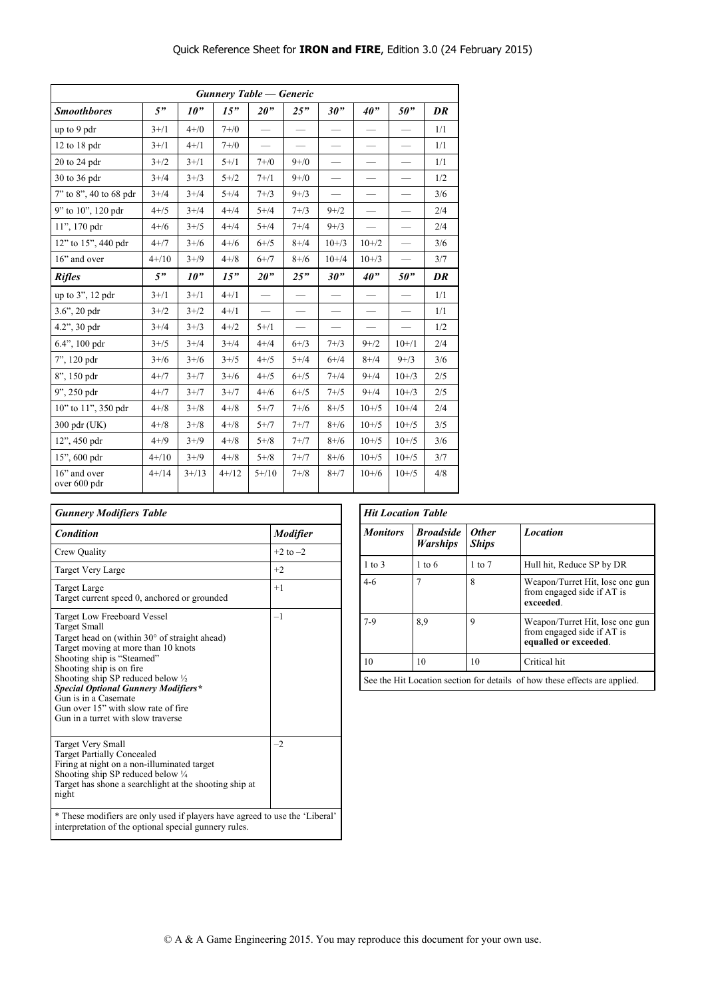| <b>Gunnery Table — Generic</b> |            |                 |            |            |                               |           |           |                 |     |
|--------------------------------|------------|-----------------|------------|------------|-------------------------------|-----------|-----------|-----------------|-----|
| <b>Smoothbores</b>             | 5"         | 10 <sup>9</sup> | 15"        | 20"        | 25"                           | 30"       | 40"       | 50"             | DR  |
| up to 9 pdr                    | $3 + / 1$  | $4 + / 0$       | $7 + / 0$  |            |                               |           |           |                 | 1/1 |
| $12$ to $18$ pdr               | $3 + / 1$  | $4 + / 1$       | $7 + / 0$  |            | $\overbrace{\phantom{12333}}$ |           |           |                 | 1/1 |
| $20$ to $24$ pdr               | $3 + 72$   | $3 + / 1$       | $5 + / 1$  | $7 + / 0$  | $9 + / 0$                     |           |           |                 | 1/1 |
| 30 to 36 pdr                   | $3+/4$     | $3 + / 3$       | $5 + 72$   | $7 + 1$    | $9 + / 0$                     |           |           |                 | 1/2 |
| 7" to 8", 40 to 68 pdr         | $3+/4$     | $3+/4$          | $5 + 4$    | $7 + 3$    | $9 + / 3$                     | -         |           |                 | 3/6 |
| 9" to 10", 120 pdr             | $4 + / 5$  | $3+/4$          | $4 + 4$    | $5 + 4$    | $7 + 3$                       | $9 + 2$   |           |                 | 2/4 |
| 11", 170 pdr                   | $4+/6$     | $3+/5$          | $4 + 4$    | $5 + 4$    | $7 + 4$                       | $9 + / 3$ |           |                 | 2/4 |
| 12" to 15", 440 pdr            | $4 + 7$    | $3+/6$          | $4+/6$     | $6 + / 5$  | $8 + 4$                       | $10 + 73$ | $10 + 2$  |                 | 3/6 |
| 16" and over                   | $4+/10$    | $3+/9$          | $4 + 8$    | $6+7$      | $8 + 76$                      | $10+/4$   | $10 + 73$ |                 | 3/7 |
| <b>Rifles</b>                  | 5"         | 10"             | 15"        | 20"        | 25"                           | 30"       | 40"       | 50 <sup>"</sup> | DR  |
| up to 3", 12 pdr               | $3+/1$     | $3+/1$          | $4 + / 1$  |            |                               |           |           |                 | 1/1 |
| $3.6$ ", $20$ pdr              | $3 + 72$   | $3 + 72$        | $4 + / 1$  |            |                               |           |           |                 | 1/1 |
| 4.2", 30 pdr                   | $3+/4$     | $3 + / 3$       | $4 + 72$   | $5 + / 1$  |                               |           |           |                 | 1/2 |
| 6.4", 100 pdr                  | $3 + 75$   | $3+/4$          | $3+/4$     | $4 + 14$   | $6 + / 3$                     | $7 + 3$   | $9 + 2$   | $10+1$          | 2/4 |
| 7", 120 pdr                    | $3+/6$     | $3+/6$          | $3+/5$     | $4 + 5$    | $5 + 4$                       | $6 + 4$   | $8 + 4$   | $9 + / 3$       | 3/6 |
| 8", 150 pdr                    | $4 + 7$    | $3+/7$          | $3+/6$     | $4 + 75$   | $6 + 75$                      | $7 + 14$  | $9 + 4$   | $10 + 3$        | 2/5 |
| $9$ ", 250 pdr                 | $4 + 7$    | $3+/7$          | $3+/7$     | $4+/6$     | $6 + /5$                      | $7 + 15$  | $9+/4$    | $10+/3$         | 2/5 |
| 10" to 11", 350 pdr            | $4 + 8$    | $3 + 8$         | $4 + 8$    | $5 + 7$    | $7 + 16$                      | $8 + / 5$ | $10 + 5$  | $10+/4$         | 2/4 |
| 300 pdr (UK)                   | $4 + 8$    | $3 + / 8$       | $4 + 8$    | $5 + 7$    | $7+ / 7$                      | $8 + 16$  | $10 + 5$  | $10 + 5$        | 3/5 |
| $12$ ", 450 pdr                | $4 + / 9$  | $3 + / 9$       | $4 + 8$    | $5 + 8$    | $7+ / 7$                      | $8 + 76$  | $10 + 5$  | $10 + 5$        | 3/6 |
| 15", 600 pdr                   | $4 + 10$   | $3 + / 9$       | $4 + 8$    | $5 + 8$    | $7+7$                         | $8 + 16$  | $10 + 5$  | $10 + 5$        | 3/7 |
| 16" and over<br>over 600 pdr   | $4 + / 14$ | $3+/13$         | $4 + / 12$ | $5 + / 10$ | $7 + 18$                      | $8 + 7$   | $10+/6$   | $10 + 5$        | 4/8 |

| <b>Gunnery Modifiers Table</b>                                                                                                                                                                                                                                                                                                                                                                    |                 |  |  |  |  |  |  |
|---------------------------------------------------------------------------------------------------------------------------------------------------------------------------------------------------------------------------------------------------------------------------------------------------------------------------------------------------------------------------------------------------|-----------------|--|--|--|--|--|--|
| <b>Condition</b>                                                                                                                                                                                                                                                                                                                                                                                  | <b>Modifier</b> |  |  |  |  |  |  |
| Crew Quality                                                                                                                                                                                                                                                                                                                                                                                      | $+2$ to $-2$    |  |  |  |  |  |  |
| Target Very Large                                                                                                                                                                                                                                                                                                                                                                                 | $+2$            |  |  |  |  |  |  |
| Target Large<br>Target current speed 0, anchored or grounded                                                                                                                                                                                                                                                                                                                                      | $+1$            |  |  |  |  |  |  |
| Target Low Freeboard Vessel<br>Target Small<br>Target head on (within 30° of straight ahead)<br>Target moving at more than 10 knots<br>Shooting ship is "Steamed"<br>Shooting ship is on fire.<br>Shooting ship SP reduced below $\frac{1}{2}$<br><b>Special Optional Gunnery Modifiers*</b><br>Gun is in a Casemate<br>Gun over 15" with slow rate of fire<br>Gun in a turret with slow traverse | $-1$            |  |  |  |  |  |  |
| <b>Target Very Small</b><br><b>Target Partially Concealed</b><br>Firing at night on a non-illuminated target<br>Shooting ship SP reduced below 1/4<br>Target has shone a searchlight at the shooting ship at<br>night                                                                                                                                                                             | $-2$            |  |  |  |  |  |  |
| * These modifiers are only used if players have agreed to use the 'Liberal'<br>interpretation of the optional special gunnery rules.                                                                                                                                                                                                                                                              |                 |  |  |  |  |  |  |

| <b>Hit Location Table</b>                                                  |                                     |                              |                                                                                        |  |  |  |  |  |
|----------------------------------------------------------------------------|-------------------------------------|------------------------------|----------------------------------------------------------------------------------------|--|--|--|--|--|
| <b>Monitors</b>                                                            | <b>Broadside</b><br><b>Warships</b> | <b>Other</b><br><b>Ships</b> | <b>Location</b>                                                                        |  |  |  |  |  |
| $1$ to $3$                                                                 | $1 \text{ to } 6$                   | $1 \text{ to } 7$            | Hull hit, Reduce SP by DR                                                              |  |  |  |  |  |
| $4-6$                                                                      | 7                                   | 8                            | Weapon/Turret Hit, lose one gun<br>from engaged side if AT is<br>exceeded.             |  |  |  |  |  |
| $7-9$                                                                      | 8.9                                 | 9                            | Weapon/Turret Hit, lose one gun<br>from engaged side if AT is<br>equalled or exceeded. |  |  |  |  |  |
| 10                                                                         | 10                                  | 10                           | Critical hit                                                                           |  |  |  |  |  |
| See the Hit Location section for details of how these effects are applied. |                                     |                              |                                                                                        |  |  |  |  |  |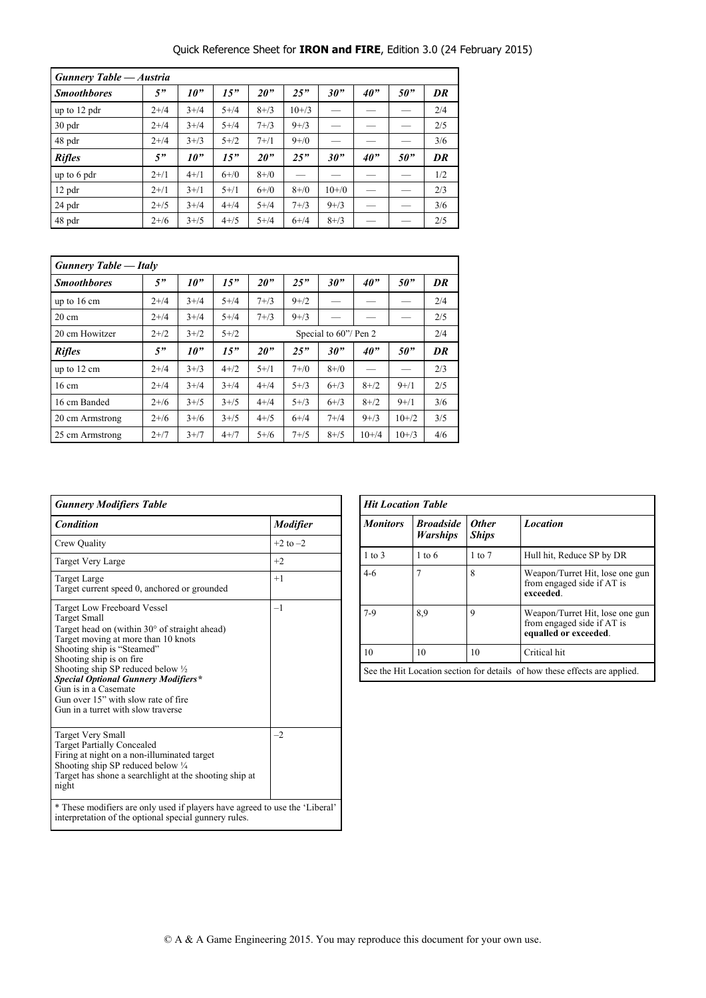#### Quick Reference Sheet for **IRON and FIRE**, Edition 3.0 (24 February 2015)

| <b>Gunnery Table — Austria</b> |          |                 |           |           |           |           |     |     |     |
|--------------------------------|----------|-----------------|-----------|-----------|-----------|-----------|-----|-----|-----|
| <b>Smoothbores</b>             | 5"       | 10 <sup>9</sup> | 15"       | 20"       | 25"       | 30"       | 40" | 50" | DR  |
| up to 12 pdr                   | $2 + 14$ | $3 + 14$        | $5 + 4$   | $8 + / 3$ | $10 + 3$  |           |     |     | 2/4 |
| $30$ pdr                       | $2+/4$   | $3 + 4$         | $5 + 4$   | $7 + 3$   | $9 + / 3$ |           |     |     | 2/5 |
| 48 pdr                         | $2+/4$   | $3 + / 3$       | $5 + 72$  | $7+1$     | $9 + / 0$ |           |     |     | 3/6 |
| <b>Rifles</b>                  | 5"       | 10 <sup>9</sup> | 15"       | 20"       | 25"       | 30"       | 40" | 50" | DR  |
| up to 6 pdr                    | $2+1$    | $4 + / 1$       | $6 + / 0$ | $8 + / 0$ |           |           |     |     | 1/2 |
| $12$ pdr                       | $2+1$    | $3 + 11$        | $5 + / 1$ | $6 + / 0$ | $8 + / 0$ | $10 + 70$ |     |     | 2/3 |
| $24$ pdr                       | $2 + 15$ | $3+/4$          | $4 + 4$   | $5 + 4$   | $7 + 3$   | $9 + / 3$ |     |     | 3/6 |
| 48 pdr                         | $2+/6$   | $3+/5$          | $4 + 15$  | $5 + 4$   | $6+/-4$   | $8 + / 3$ |     |     | 2/5 |

| <b>Gunnery Table — Italy</b> |          |                 |          |                       |           |           |                 |          |     |
|------------------------------|----------|-----------------|----------|-----------------------|-----------|-----------|-----------------|----------|-----|
| <b>Smoothbores</b>           | 5"       | 10 <sup>2</sup> | 15"      | 20 <sup>2</sup>       | DR        |           |                 |          |     |
| up to $16 \text{ cm}$        | $2 + 14$ | $3+/4$          | $5 + 14$ | $7 + 3$               | $9 + 72$  |           |                 |          | 2/4 |
| $20 \text{ cm}$              | $2 + 14$ | $3+/4$          | $5 + 14$ | $7 + 3$               | $9 + / 3$ |           |                 |          | 2/5 |
| 20 cm Howitzer               | $2+1/2$  | $3 + 2$         | $5 + 72$ | Special to 60"/ Pen 2 |           |           |                 |          |     |
| <b>Rifles</b>                | 5"       | 10 <sup>2</sup> | 15"      | 20"                   | 25"       | 30"       | 40 <sup>o</sup> | 50"      | DR  |
| up to $12 \text{ cm}$        | $2 + 14$ | $3 + / 3$       | $4 + 72$ | $5 + 1$               | $7 + / 0$ | $8 + / 0$ |                 |          | 2/3 |
| $16 \text{ cm}$              | $2 + 14$ | $3+/4$          | $3+/4$   | $4 + 14$              | $5 + 73$  | $6 + 3$   | $8 + 72$        | $9+1$    | 2/5 |
| 16 cm Banded                 | $2+/6$   | $3+/5$          | $3 + 15$ | $4 + 14$              | $5 + 3$   | $6 + 3$   | $8 + 72$        | $9+1$    | 3/6 |
| 20 cm Armstrong              | $2+/6$   | $3+/6$          | $3 + 15$ | $4 + 15$              | $6+/-4$   | $7 + 14$  | $9 + / 3$       | $10+2$   | 3/5 |
| 25 cm Armstrong              | $2+7$    | $3+/7$          | $4+/7$   | $5+/6$                | $7 + 15$  | $8 + / 5$ | $10+/4$         | $10 + 3$ | 4/6 |

| <b>Gunnery Modifiers Table</b>                                                                                                                                                                                                                                                                                                                                                                         |                 |  |  |  |  |  |
|--------------------------------------------------------------------------------------------------------------------------------------------------------------------------------------------------------------------------------------------------------------------------------------------------------------------------------------------------------------------------------------------------------|-----------------|--|--|--|--|--|
| Condition                                                                                                                                                                                                                                                                                                                                                                                              | <b>Modifier</b> |  |  |  |  |  |
| Crew Quality                                                                                                                                                                                                                                                                                                                                                                                           | $+2$ to $-2$    |  |  |  |  |  |
| Target Very Large                                                                                                                                                                                                                                                                                                                                                                                      | $+2$            |  |  |  |  |  |
| <b>Target Large</b><br>Target current speed 0, anchored or grounded                                                                                                                                                                                                                                                                                                                                    | $+1$            |  |  |  |  |  |
| Target Low Freeboard Vessel<br><b>Target Small</b><br>Target head on (within $30^{\circ}$ of straight ahead)<br>Target moving at more than 10 knots<br>Shooting ship is "Steamed"<br>Shooting ship is on fire<br>Shooting ship SP reduced below 1/2<br><b>Special Optional Gunnery Modifiers*</b><br>Gun is in a Casemate<br>Gun over 15" with slow rate of fire<br>Gun in a turret with slow traverse | $-1$            |  |  |  |  |  |
| <b>Target Very Small</b><br><b>Target Partially Concealed</b><br>Firing at night on a non-illuminated target<br>Shooting ship SP reduced below 1/4<br>Target has shone a searchlight at the shooting ship at<br>night                                                                                                                                                                                  | $-2$            |  |  |  |  |  |
| * These modifiers are only used if players have agreed to use the 'Liberal'<br>interpretation of the optional special gunnery rules.                                                                                                                                                                                                                                                                   |                 |  |  |  |  |  |

| <b>Hit Location Table</b>                                                  |                                     |                              |                                                                                        |  |  |
|----------------------------------------------------------------------------|-------------------------------------|------------------------------|----------------------------------------------------------------------------------------|--|--|
| <b>Monitors</b>                                                            | <b>Broadside</b><br><b>Warships</b> | <b>Other</b><br><b>Ships</b> | <b>Location</b>                                                                        |  |  |
| $1$ to $3$                                                                 | $1 \text{ to } 6$                   | $1$ to $7$                   | Hull hit, Reduce SP by DR                                                              |  |  |
| $4-6$                                                                      |                                     | 8                            | Weapon/Turret Hit, lose one gun<br>from engaged side if AT is<br>exceeded.             |  |  |
| $7-9$                                                                      | 8,9                                 | 9                            | Weapon/Turret Hit, lose one gun<br>from engaged side if AT is<br>equalled or exceeded. |  |  |
| 10                                                                         | 10                                  | 10                           | Critical hit                                                                           |  |  |
| See the Hit Location section for details of how these effects are applied. |                                     |                              |                                                                                        |  |  |